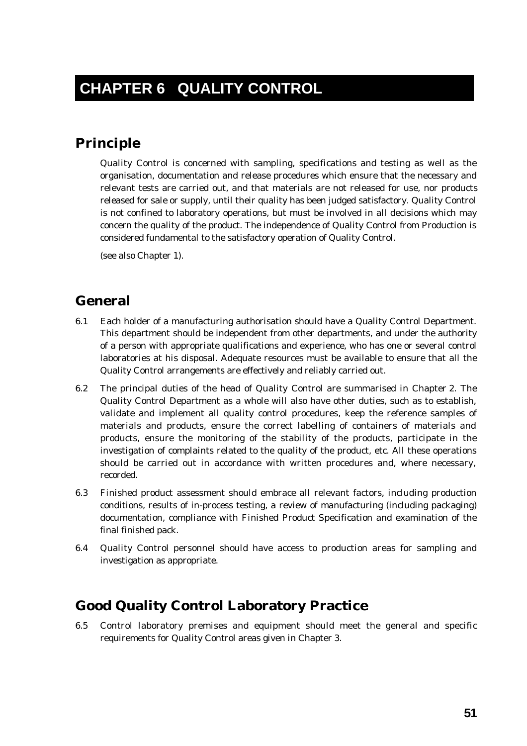# **Principle**

Quality Control is concerned with sampling, specifications and testing as well as the organisation, documentation and release procedures which ensure that the necessary and relevant tests are carried out, and that materials are not released for use, nor products released for sale or supply, until their quality has been judged satisfactory. Quality Control is not confined to laboratory operations, but must be involved in all decisions which may concern the quality of the product. The independence of Quality Control from Production is considered fundamental to the satisfactory operation of Quality Control.

(see also Chapter 1).

## **General**

- 6.1 Each holder of a manufacturing authorisation should have a Quality Control Department. This department should be independent from other departments, and under the authority of a person with appropriate qualifications and experience, who has one or several control laboratories at his disposal. Adequate resources must be available to ensure that all the Quality Control arrangements are effectively and reliably carried out.
- 6.2 The principal duties of the head of Quality Control are summarised in Chapter 2. The Quality Control Department as a whole will also have other duties, such as to establish, validate and implement all quality control procedures, keep the reference samples of materials and products, ensure the correct labelling of containers of materials and products, ensure the monitoring of the stability of the products, participate in the investigation of complaints related to the quality of the product, etc. All these operations should be carried out in accordance with written procedures and, where necessary, recorded.
- 6.3 Finished product assessment should embrace all relevant factors, including production conditions, results of in-process testing, a review of manufacturing (including packaging) documentation, compliance with Finished Product Specification and examination of the final finished pack.
- 6.4 Quality Control personnel should have access to production areas for sampling and investigation as appropriate.

### **Good Quality Control Laboratory Practice**

6.5 Control laboratory premises and equipment should meet the general and specific requirements for Quality Control areas given in Chapter 3.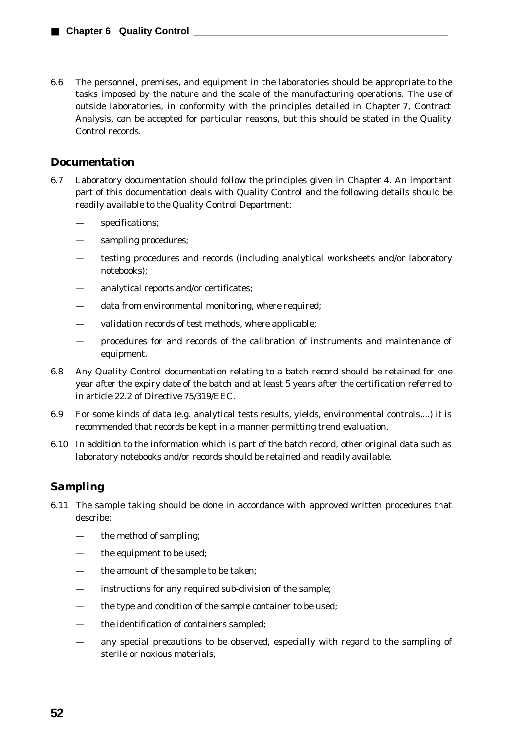6.6 The personnel, premises, and equipment in the laboratories should be appropriate to the tasks imposed by the nature and the scale of the manufacturing operations. The use of outside laboratories, in conformity with the principles detailed in Chapter 7, Contract Analysis, can be accepted for particular reasons, but this should be stated in the Quality Control records.

#### *Documentation*

- 6.7 Laboratory documentation should follow the principles given in Chapter 4. An important part of this documentation deals with Quality Control and the following details should be readily available to the Quality Control Department:
	- specifications;
	- sampling procedures;
	- testing procedures and records (including analytical worksheets and/or laboratory notebooks);
	- analytical reports and/or certificates;
	- data from environmental monitoring, where required:
	- validation records of test methods, where applicable;
	- procedures for and records of the calibration of instruments and maintenance of equipment.
- 6.8 Any Quality Control documentation relating to a batch record should be retained for one year after the expiry date of the batch and at least 5 years after the certification referred to in article 22.2 of Directive 75/319/EEC.
- 6.9 For some kinds of data (e.g. analytical tests results, yields, environmental controls,...) it is recommended that records be kept in a manner permitting trend evaluation.
- 6.10 In addition to the information which is part of the batch record, other original data such as laboratory notebooks and/or records should be retained and readily available.

### *Sampling*

- 6.11 The sample taking should be done in accordance with approved written procedures that describe:
	- the method of sampling;
	- the equipment to be used;
	- the amount of the sample to be taken;
	- instructions for any required sub-division of the sample;
	- the type and condition of the sample container to be used;
	- the identification of containers sampled;
	- any special precautions to be observed, especially with regard to the sampling of sterile or noxious materials;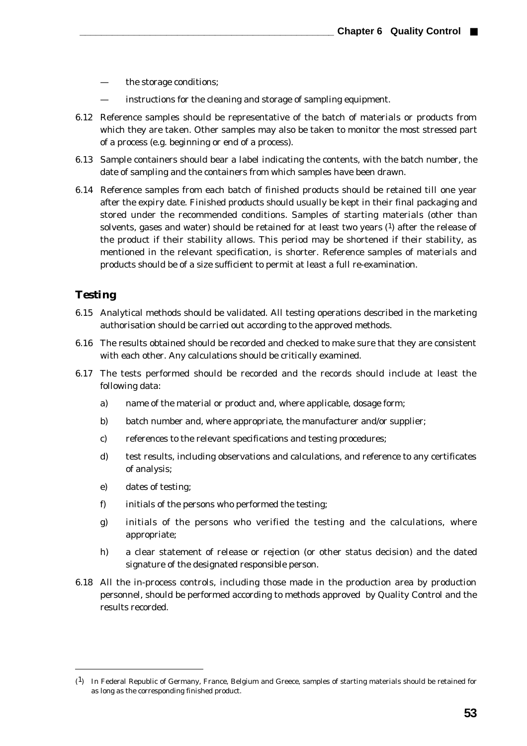- the storage conditions;
- instructions for the cleaning and storage of sampling equipment.
- 6.12 Reference samples should be representative of the batch of materials or products from which they are taken. Other samples may also be taken to monitor the most stressed part of a process (e.g. beginning or end of a process).
- 6.13 Sample containers should bear a label indicating the contents, with the batch number, the date of sampling and the containers from which samples have been drawn.
- 6.14 Reference samples from each batch of finished products should be retained till one year after the expiry date. Finished products should usually be kept in their final packaging and stored under the recommended conditions. Samples of starting materials (other than solvents, gases and water) should be retained for at least two years  $(1)$  after the release of the product if their stability allows. This period may be shortened if their stability, as mentioned in the relevant specification, is shorter. Reference samples of materials and products should be of a size sufficient to permit at least a full re-examination.

#### *Testing*

 $\overline{a}$ 

- 6.15 Analytical methods should be validated. All testing operations described in the marketing authorisation should be carried out according to the approved methods.
- 6.16 The results obtained should be recorded and checked to make sure that they are consistent with each other. Any calculations should be critically examined.
- 6.17 The tests performed should be recorded and the records should include at least the following data:
	- a) name of the material or product and, where applicable, dosage form;
	- b) batch number and, where appropriate, the manufacturer and/or supplier;
	- c) references to the relevant specifications and testing procedures;
	- d) test results, including observations and calculations, and reference to any certificates of analysis;
	- e) dates of testing;
	- f) initials of the persons who performed the testing;
	- g) initials of the persons who verified the testing and the calculations, where appropriate;
	- h) a clear statement of release or rejection (or other status decision) and the dated signature of the designated responsible person.
- 6.18 All the in-process controls, including those made in the production area by production personnel, should be performed according to methods approved by Quality Control and the results recorded.

<sup>(1)</sup> In Federal Republic of Germany, France, Belgium and Greece, samples of starting materials should be retained for as long as the corresponding finished product.